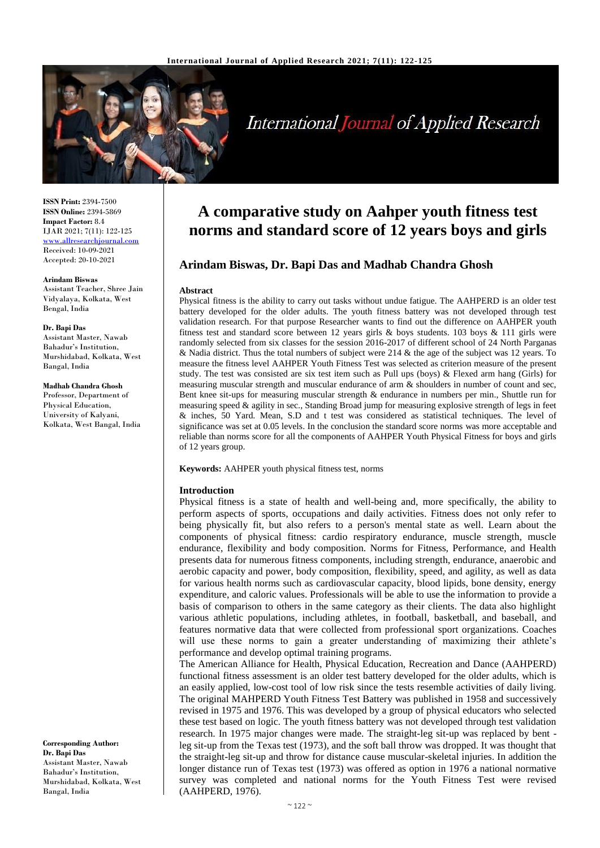

# **International Journal of Applied Research**

**ISSN Print:** 2394-7500 **ISSN Online:** 2394-5869 **Impact Factor:** 8.4 IJAR 2021; 7(11): 122-125 [www.allresearchjournal.com](http://www.allresearchjournal.com/) Received: 10-09-2021 Accepted: 20-10-2021

#### **Arindam Biswas**

Assistant Teacher, Shree Jain Vidyalaya, Kolkata, West Bengal, India

#### **Dr. Bapi Das**

Assistant Master, Nawab Bahadur's Institution, Murshidabad, Kolkata, West Bangal, India

**Madhab Chandra Ghosh** Professor, Department of Physical Education, University of Kalyani,

Kolkata, West Bangal, India

**A comparative study on Aahper youth fitness test norms and standard score of 12 years boys and girls**

## **Arindam Biswas, Dr. Bapi Das and Madhab Chandra Ghosh**

#### **Abstract**

Physical fitness is the ability to carry out tasks without undue fatigue. The AAHPERD is an older test battery developed for the older adults. The youth fitness battery was not developed through test validation research. For that purpose Researcher wants to find out the difference on AAHPER youth fitness test and standard score between 12 years girls & boys students. 103 boys & 111 girls were randomly selected from six classes for the session 2016-2017 of different school of 24 North Parganas & Nadia district. Thus the total numbers of subject were 214 & the age of the subject was 12 years. To measure the fitness level AAHPER Youth Fitness Test was selected as criterion measure of the present study. The test was consisted are six test item such as Pull ups (boys) & Flexed arm hang (Girls) for measuring muscular strength and muscular endurance of arm & shoulders in number of count and sec, Bent knee sit-ups for measuring muscular strength & endurance in numbers per min., Shuttle run for measuring speed & agility in sec., Standing Broad jump for measuring explosive strength of legs in feet & inches, 50 Yard. Mean, S.D and t test was considered as statistical techniques. The level of significance was set at 0.05 levels. In the conclusion the standard score norms was more acceptable and reliable than norms score for all the components of AAHPER Youth Physical Fitness for boys and girls of 12 years group.

**Keywords:** AAHPER youth physical fitness test, norms

## **Introduction**

Physical fitness is a state of health and well-being and, more specifically, the ability to perform aspects of sports, occupations and daily activities. Fitness does not only refer to being physically fit, but also refers to a person's mental state as well. Learn about the components of physical fitness: cardio respiratory endurance, muscle strength, muscle endurance, flexibility and body composition. Norms for Fitness, Performance, and Health presents data for numerous fitness components, including strength, endurance, anaerobic and aerobic capacity and power, body composition, flexibility, speed, and agility, as well as data for various health norms such as cardiovascular capacity, blood lipids, bone density, energy expenditure, and caloric values. Professionals will be able to use the information to provide a basis of comparison to others in the same category as their clients. The data also highlight various athletic populations, including athletes, in football, basketball, and baseball, and features normative data that were collected from professional sport organizations. Coaches will use these norms to gain a greater understanding of maximizing their athlete's performance and develop optimal training programs.

The American Alliance for Health, Physical Education, Recreation and Dance (AAHPERD) functional fitness assessment is an older test battery developed for the older adults, which is an easily applied, low-cost tool of low risk since the tests resemble activities of daily living. The original MAHPERD Youth Fitness Test Battery was published in 1958 and successively revised in 1975 and 1976. This was developed by a group of physical educators who selected these test based on logic. The youth fitness battery was not developed through test validation research. In 1975 major changes were made. The straight-leg sit-up was replaced by bent leg sit-up from the Texas test (1973), and the soft ball throw was dropped. It was thought that the straight-leg sit-up and throw for distance cause muscular-skeletal injuries. In addition the longer distance run of Texas test (1973) was offered as option in 1976 a national normative survey was completed and national norms for the Youth Fitness Test were revised (AAHPERD, 1976).

**Corresponding Author: Dr. Bapi Das** Assistant Master, Nawab Bahadur's Institution, Murshidabad, Kolkata, West Bangal, India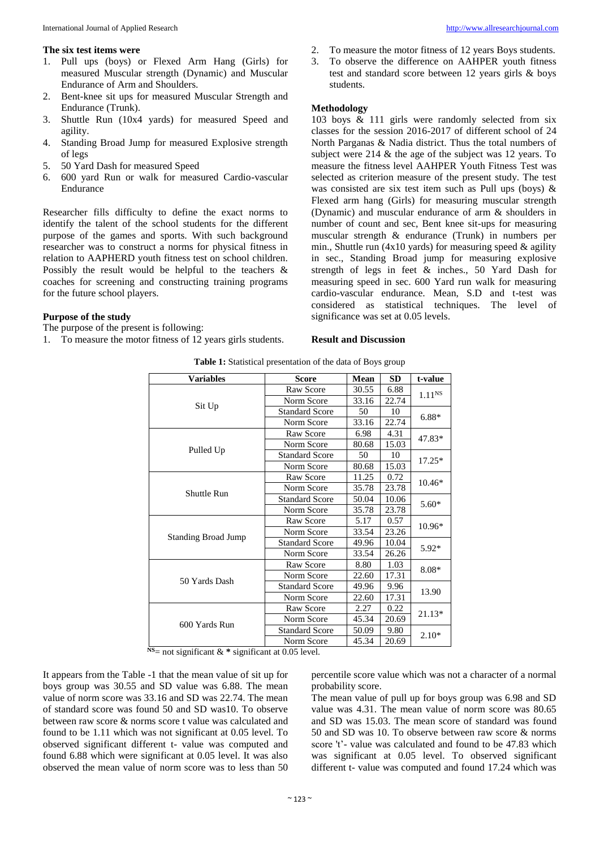#### **The six test items were**

- 1. Pull ups (boys) or Flexed Arm Hang (Girls) for measured Muscular strength (Dynamic) and Muscular Endurance of Arm and Shoulders.
- 2. Bent-knee sit ups for measured Muscular Strength and Endurance (Trunk).
- 3. Shuttle Run (10x4 yards) for measured Speed and agility.
- 4. Standing Broad Jump for measured Explosive strength of legs
- 5. 50 Yard Dash for measured Speed
- 6. 600 yard Run or walk for measured Cardio-vascular Endurance

Researcher fills difficulty to define the exact norms to identify the talent of the school students for the different purpose of the games and sports. With such background researcher was to construct a norms for physical fitness in relation to AAPHERD youth fitness test on school children. Possibly the result would be helpful to the teachers  $\&$ coaches for screening and constructing training programs for the future school players.

## **Purpose of the study**

The purpose of the present is following:

1. To measure the motor fitness of 12 years girls students.

- 2. To measure the motor fitness of 12 years Boys students.
- 3. To observe the difference on AAHPER youth fitness test and standard score between 12 years girls & boys students.

## **Methodology**

103 boys & 111 girls were randomly selected from six classes for the session 2016-2017 of different school of 24 North Parganas & Nadia district. Thus the total numbers of subject were 214 & the age of the subject was 12 years. To measure the fitness level AAHPER Youth Fitness Test was selected as criterion measure of the present study. The test was consisted are six test item such as Pull ups (boys) & Flexed arm hang (Girls) for measuring muscular strength (Dynamic) and muscular endurance of arm & shoulders in number of count and sec, Bent knee sit-ups for measuring muscular strength & endurance (Trunk) in numbers per min., Shuttle run (4x10 yards) for measuring speed  $\&$  agility in sec., Standing Broad jump for measuring explosive strength of legs in feet & inches., 50 Yard Dash for measuring speed in sec. 600 Yard run walk for measuring cardio-vascular endurance. Mean, S.D and t-test was considered as statistical techniques. The level of significance was set at 0.05 levels.

#### **Result and Discussion**

| <b>Variables</b>           | <b>Score</b>          | Mean  | <b>SD</b> | t-value     |
|----------------------------|-----------------------|-------|-----------|-------------|
| Sit Up                     | Raw Score             | 30.55 | 6.88      | $1.11^{NS}$ |
|                            | Norm Score            | 33.16 | 22.74     |             |
|                            | <b>Standard Score</b> | 50    | 10        | $6.88*$     |
|                            | Norm Score            | 33.16 | 22.74     |             |
| Pulled Up                  | Raw Score             | 6.98  | 4.31      | 47.83*      |
|                            | Norm Score            | 80.68 | 15.03     |             |
|                            | <b>Standard Score</b> | 50    | 10        | $17.25*$    |
|                            | Norm Score            | 80.68 | 15.03     |             |
| Shuttle Run                | Raw Score             | 11.25 | 0.72      | $10.46*$    |
|                            | Norm Score            | 35.78 | 23.78     |             |
|                            | <b>Standard Score</b> | 50.04 | 10.06     | $5.60*$     |
|                            | Norm Score            | 35.78 | 23.78     |             |
| <b>Standing Broad Jump</b> | Raw Score             | 5.17  | 0.57      | $10.96*$    |
|                            | Norm Score            | 33.54 | 23.26     |             |
|                            | <b>Standard Score</b> | 49.96 | 10.04     | $5.92*$     |
|                            | Norm Score            | 33.54 | 26.26     |             |
| 50 Yards Dash              | Raw Score             | 8.80  | 1.03      | $8.08*$     |
|                            | Norm Score            | 22.60 | 17.31     |             |
|                            | <b>Standard Score</b> | 49.96 | 9.96      | 13.90       |
|                            | Norm Score            | 22.60 | 17.31     |             |
| 600 Yards Run              | Raw Score             | 2.27  | 0.22      | $21.13*$    |
|                            | Norm Score            | 45.34 | 20.69     |             |
|                            | <b>Standard Score</b> | 50.09 | 9.80      | $2.10*$     |
|                            | Norm Score            | 45.34 | 20.69     |             |

**Table 1:** Statistical presentation of the data of Boys group

 $\overline{NS}$ = not significant & \* significant at 0.05 level.

It appears from the Table -1 that the mean value of sit up for boys group was 30.55 and SD value was 6.88. The mean value of norm score was 33.16 and SD was 22.74. The mean of standard score was found 50 and SD was10. To observe between raw score & norms score t value was calculated and found to be 1.11 which was not significant at 0.05 level. To observed significant different t- value was computed and found 6.88 which were significant at 0.05 level. It was also observed the mean value of norm score was to less than 50

percentile score value which was not a character of a normal probability score.

The mean value of pull up for boys group was 6.98 and SD value was 4.31. The mean value of norm score was 80.65 and SD was 15.03. The mean score of standard was found 50 and SD was 10. To observe between raw score & norms score 't'- value was calculated and found to be 47.83 which was significant at 0.05 level. To observed significant different t- value was computed and found 17.24 which was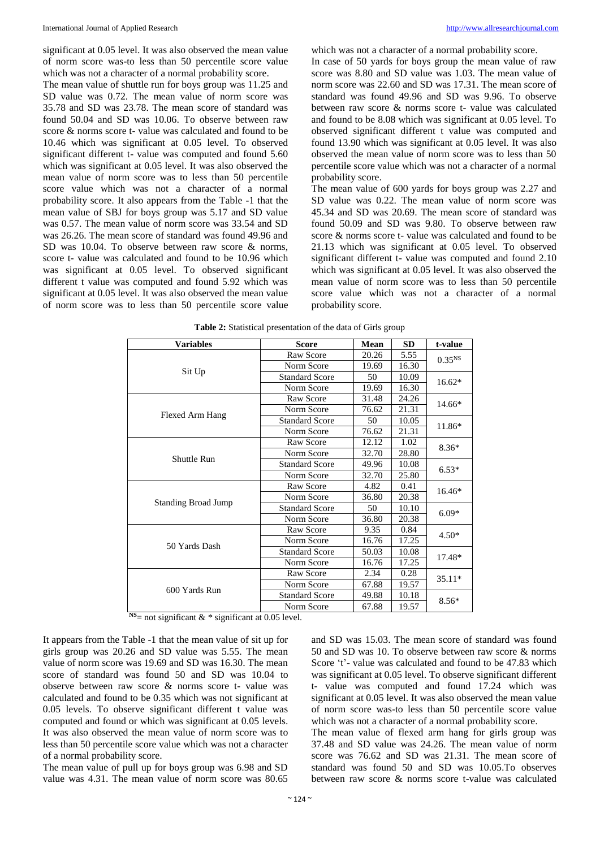significant at 0.05 level. It was also observed the mean value of norm score was-to less than 50 percentile score value which was not a character of a normal probability score.

The mean value of shuttle run for boys group was 11.25 and SD value was 0.72. The mean value of norm score was 35.78 and SD was 23.78. The mean score of standard was found 50.04 and SD was 10.06. To observe between raw score & norms score t- value was calculated and found to be 10.46 which was significant at 0.05 level. To observed significant different t- value was computed and found 5.60 which was significant at 0.05 level. It was also observed the mean value of norm score was to less than 50 percentile score value which was not a character of a normal probability score. It also appears from the Table -1 that the mean value of SBJ for boys group was 5.17 and SD value was 0.57. The mean value of norm score was 33.54 and SD was 26.26. The mean score of standard was found 49.96 and SD was 10.04. To observe between raw score & norms, score t- value was calculated and found to be 10.96 which was significant at 0.05 level. To observed significant different t value was computed and found 5.92 which was significant at 0.05 level. It was also observed the mean value of norm score was to less than 50 percentile score value

which was not a character of a normal probability score. In case of 50 yards for boys group the mean value of raw score was 8.80 and SD value was 1.03. The mean value of norm score was 22.60 and SD was 17.31. The mean score of standard was found 49.96 and SD was 9.96. To observe between raw score  $\&$  norms score t- value was calculated and found to be 8.08 which was significant at 0.05 level. To observed significant different t value was computed and found 13.90 which was significant at 0.05 level. It was also observed the mean value of norm score was to less than 50 percentile score value which was not a character of a normal probability score.

The mean value of 600 yards for boys group was 2.27 and SD value was 0.22. The mean value of norm score was 45.34 and SD was 20.69. The mean score of standard was found 50.09 and SD was 9.80. To observe between raw score & norms score t- value was calculated and found to be 21.13 which was significant at 0.05 level. To observed significant different t- value was computed and found 2.10 which was significant at 0.05 level. It was also observed the mean value of norm score was to less than 50 percentile score value which was not a character of a normal probability score.

| <b>Variables</b>           | <b>Score</b>          | Mean  | <b>SD</b> | t-value            |
|----------------------------|-----------------------|-------|-----------|--------------------|
| Sit Up                     | Raw Score             | 20.26 | 5.55      | 0.35 <sup>NS</sup> |
|                            | Norm Score            | 19.69 | 16.30     |                    |
|                            | <b>Standard Score</b> | 50    | 10.09     | $16.62*$           |
|                            | Norm Score            | 19.69 | 16.30     |                    |
| Flexed Arm Hang            | Raw Score             | 31.48 | 24.26     | $14.66*$           |
|                            | Norm Score            | 76.62 | 21.31     |                    |
|                            | <b>Standard Score</b> | 50    | 10.05     | 11.86*             |
|                            | Norm Score            | 76.62 | 21.31     |                    |
| Shuttle Run                | Raw Score             | 12.12 | 1.02      | $8.36*$            |
|                            | Norm Score            | 32.70 | 28.80     |                    |
|                            | <b>Standard Score</b> | 49.96 | 10.08     | $6.53*$            |
|                            | Norm Score            | 32.70 | 25.80     |                    |
| <b>Standing Broad Jump</b> | Raw Score             | 4.82  | 0.41      | $16.46*$           |
|                            | Norm Score            | 36.80 | 20.38     |                    |
|                            | <b>Standard Score</b> | 50    | 10.10     | $6.09*$            |
|                            | Norm Score            | 36.80 | 20.38     |                    |
| 50 Yards Dash              | Raw Score             | 9.35  | 0.84      | $4.50*$            |
|                            | Norm Score            | 16.76 | 17.25     |                    |
|                            | <b>Standard Score</b> | 50.03 | 10.08     | 17.48*             |
|                            | Norm Score            | 16.76 | 17.25     |                    |
| 600 Yards Run              | Raw Score             | 2.34  | 0.28      | $35.11*$           |
|                            | Norm Score            | 67.88 | 19.57     |                    |
|                            | <b>Standard Score</b> | 49.88 | 10.18     | $8.56*$            |
|                            | Norm Score            | 67.88 | 19.57     |                    |

 $NS$ = not significant  $&$  \* significant at 0.05 level.

It appears from the Table -1 that the mean value of sit up for girls group was 20.26 and SD value was 5.55. The mean value of norm score was 19.69 and SD was 16.30. The mean score of standard was found 50 and SD was 10.04 to observe between raw score & norms score t- value was calculated and found to be 0.35 which was not significant at 0.05 levels. To observe significant different t value was computed and found or which was significant at 0.05 levels. It was also observed the mean value of norm score was to less than 50 percentile score value which was not a character of a normal probability score.

The mean value of pull up for boys group was 6.98 and SD value was 4.31. The mean value of norm score was 80.65 and SD was 15.03. The mean score of standard was found 50 and SD was 10. To observe between raw score & norms Score 't'- value was calculated and found to be 47.83 which was significant at 0.05 level. To observe significant different t- value was computed and found 17.24 which was significant at 0.05 level. It was also observed the mean value of norm score was-to less than 50 percentile score value which was not a character of a normal probability score.

The mean value of flexed arm hang for girls group was 37.48 and SD value was 24.26. The mean value of norm score was 76.62 and SD was 21.31. The mean score of standard was found 50 and SD was 10.05.To observes between raw score & norms score t-value was calculated